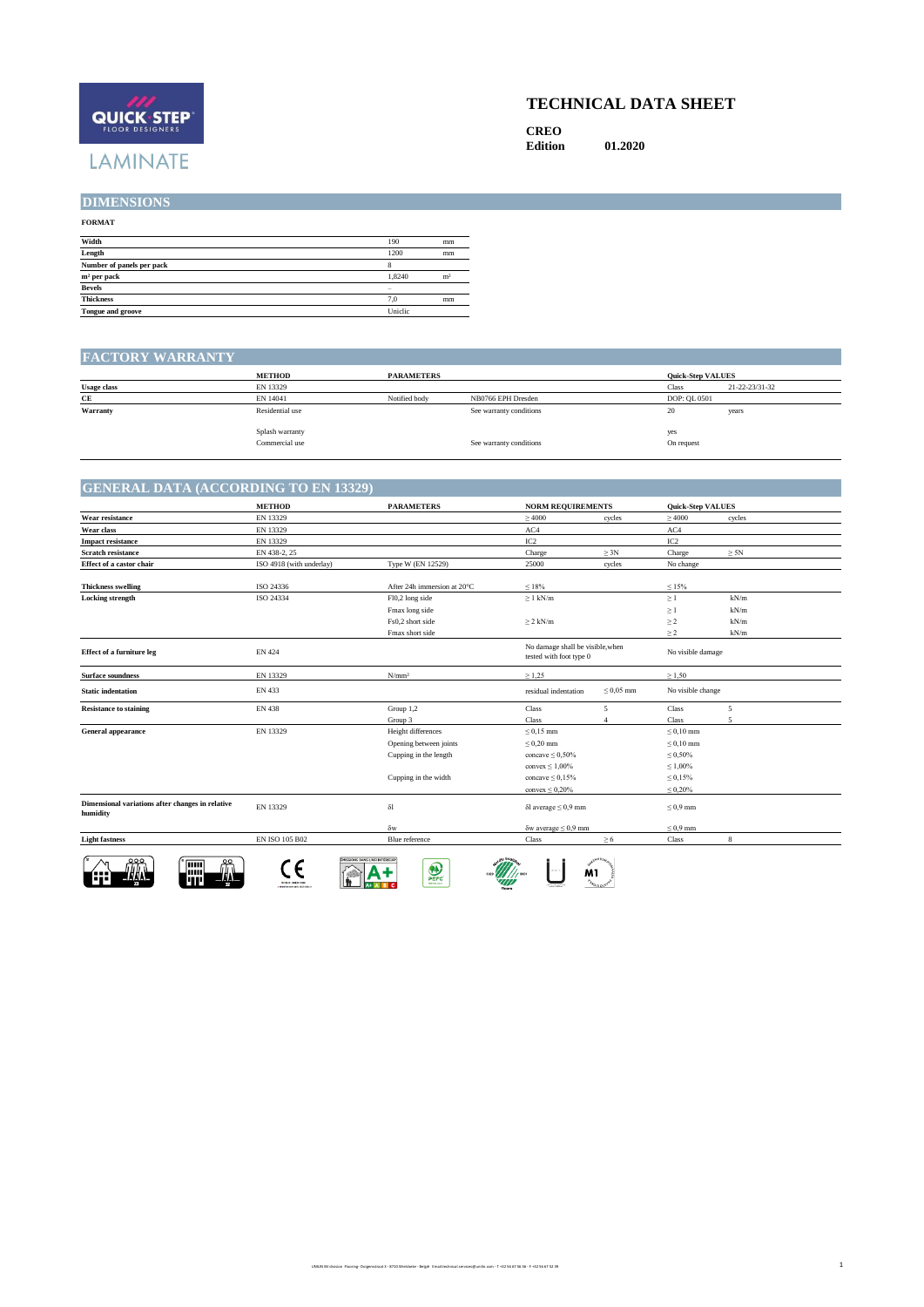# QUICK STEP **LAMINATE**

### **TECHNICAL DATA SHEET**

**CREO Edition 01.2020**

**DIMENSIONS**

## **FORMAT Width** 190 mm **Length** 1200 mm **Number of panels per pack** 8 **m<sup>3</sup> per pack** 1,8240 m<sup>3</sup><br>**Bevels** – 2,0 mm<br>**Thickness** – 7,0 mm **Tongue and groove** Uniclic

#### **FACTORY WARRANTY**

|                    | <b>METHOD</b>                     | <b>PARAMETERS</b> |                         | <b>Quick-Step VALUES</b> |                |
|--------------------|-----------------------------------|-------------------|-------------------------|--------------------------|----------------|
| <b>Usage class</b> | EN 13329                          |                   |                         | <b>Class</b>             | 21-22-23/31-32 |
| CE                 | EN 14041                          | Notified body     | NB0766 EPH Dresden      | DOP: QL 0501             |                |
| Warranty           | Residential use                   |                   | See warranty conditions | 20                       | years          |
|                    | Splash warranty<br>Commercial use |                   | See warranty conditions | yes<br>On request        |                |

#### **GENERAL DATA (ACCORDING TO EN 13329)**

|                                                              | <b>METHOD</b>            | <b>PARAMETERS</b>                                                     | <b>NORM REQUIREMENTS</b>                                    |                | <b>Quick-Step VALUES</b> |                |
|--------------------------------------------------------------|--------------------------|-----------------------------------------------------------------------|-------------------------------------------------------------|----------------|--------------------------|----------------|
| Wear resistance                                              | EN 13329                 |                                                                       | >4000                                                       | cycles         | >4000                    | cycles         |
| Wear class                                                   | EN 13329                 |                                                                       | AC4                                                         |                | AC4                      |                |
| <b>Impact resistance</b>                                     | EN 13329                 |                                                                       | IC <sub>2</sub>                                             |                | IC <sub>2</sub>          |                |
| <b>Scratch resistance</b>                                    | EN 438-2, 25             |                                                                       | Charge                                                      | $\geq 3N$      | Charge                   | $\geq 5N$      |
| Effect of a castor chair                                     | ISO 4918 (with underlay) | Type W (EN 12529)                                                     | 25000                                                       | cycles         | No change                |                |
| <b>Thickness swelling</b>                                    | ISO 24336                | After 24h immersion at 20°C                                           | $\leq 18\%$                                                 |                | $\leq 15\%$              |                |
| <b>Locking strength</b>                                      | ISO 24334                | Fl0,2 long side                                                       | $\geq 1$ kN/m                                               |                | $\geq 1$                 | kN/m           |
|                                                              |                          | Fmax long side                                                        |                                                             |                | $\geq 1$                 | kN/m           |
|                                                              |                          | Fs0,2 short side                                                      | $\geq 2$ kN/m                                               |                | $\geq 2$                 | kN/m           |
|                                                              |                          | Fmax short side                                                       |                                                             |                | $\geq 2$                 | kN/m           |
| <b>Effect of a furniture leg</b>                             | EN 424                   |                                                                       | No damage shall be visible, when<br>tested with foot type 0 |                | No visible damage        |                |
| <b>Surface soundness</b>                                     | EN 13329                 | N/mm <sup>2</sup>                                                     | $\geq 1.25$                                                 |                | $\geq 1.50$              |                |
| <b>Static indentation</b>                                    | EN 433                   |                                                                       | residual indentation                                        | $\leq 0.05$ mm | No visible change        |                |
| <b>Resistance to staining</b>                                | <b>EN 438</b>            | Group 1,2                                                             | Class                                                       | 5              | Class                    | $\overline{5}$ |
|                                                              |                          | Group 3                                                               | Class                                                       | $\Delta$       | Class                    | $\overline{5}$ |
| <b>General appearance</b>                                    | EN 13329                 | Height differences                                                    | $\leq 0.15$ mm                                              |                | $\leq 0.10$ mm           |                |
|                                                              |                          | Opening between joints                                                | $\leq 0.20$ mm                                              |                | $\leq 0.10$ mm           |                |
|                                                              |                          | Cupping in the length                                                 | concave $\leq 0.50\%$                                       |                | $\leq 0.50\%$            |                |
|                                                              |                          |                                                                       | convex $\leq 1,00\%$                                        |                | $\leq 1,00\%$            |                |
|                                                              |                          | Cupping in the width                                                  | concave $\leq 0.15\%$                                       |                | $\leq 0.15\%$            |                |
|                                                              |                          |                                                                       | convex $\leq 0.20\%$                                        |                | $\leq 0.20\%$            |                |
| Dimensional variations after changes in relative<br>humidity | EN 13329                 | $\delta l$                                                            | $\delta$ l average $\leq 0.9$ mm                            |                | $\leq 0.9$ mm            |                |
|                                                              |                          | $\delta w$                                                            | $\delta$ w average $\leq 0.9$ mm                            |                | $\leq 0.9$ mm            |                |
| <b>Light fastness</b>                                        | EN ISO 105 B02           | Blue reference                                                        | Class                                                       | $\geq 6$       | Class                    | 8              |
| 000<br>醞                                                     | <b>Nomination</b>        | MISSIONS DANS L'AIR INTÉRIEUR"<br>$\sum_{\text{perc}}$<br>PER OF SHIP | M1                                                          | <b>Sample</b>  |                          |                |